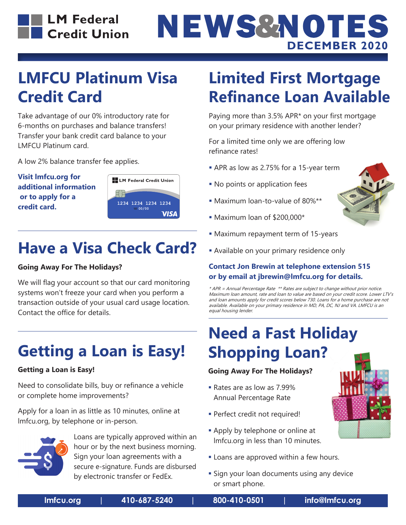# NEWS&NOTES **DECEMBER 2020**

# **LMFCU Platinum Visa Credit Card**

Take advantage of our 0% introductory rate for 6-months on purchases and balance transfers! Transfer your bank credit card balance to your LMFCU Platinum card.

A low 2% balance transfer fee applies.

**Visit lmfcu.org for additional information or to apply for a credit card.**



# **Have a Visa Check Card?**

### **Going Away For The Holidays?**

We will flag your account so that our card monitoring systems won't freeze your card when you perform a transaction outside of your usual card usage location. Contact the office for details.

# **Getting a Loan is Easy!**

### **Getting a Loan is Easy!**

Need to consolidate bills, buy or refinance a vehicle or complete home improvements?

Apply for a loan in as little as 10 minutes, online at lmfcu.org, by telephone or in-person.



 Loans are typically approved within an hour or by the next business morning. Sign your loan agreements with a secure e-signature. Funds are disbursed by electronic transfer or FedEx.

# **Limited First Mortgage Refinance Loan Available**

Paying more than 3.5% APR\* on your first mortgage on your primary residence with another lender?

For a limited time only we are offering low refinance rates!

- APR as low as 2.75% for a 15-year term
- **No points or application fees**
- Maximum loan-to-value of 80%\*\*
- Maximum loan of \$200,000\*
- Maximum repayment term of 15-years
- Available on your primary residence only

### **Contact Jon Brewin at telephone extension 515 or by email at jbrewin@lmfcu.org for details.**

\* APR = Annual Percentage Rate \*\* Rates are subject to change without prior notice. Maximum loan amount, rate and loan to value are based on your credit score. Lower LTV's and loan amounts apply for credit scores below 730. Loans for a home purchase are not available. Available on your primary residence in MD, PA, DC, NJ and VA. LMFCU is an equal housing lender.

# **Need a Fast Holiday Shopping Loan?**

### **Going Away For The Holidays?**

- Rates are as low as 7.99% Annual Percentage Rate
- **Perfect credit not required!**
- **Apply by telephone or online at** lmfcu.org in less than 10 minutes.
- **-** Loans are approved within a few hours.
- **Sign your loan documents using any device** or smart phone.